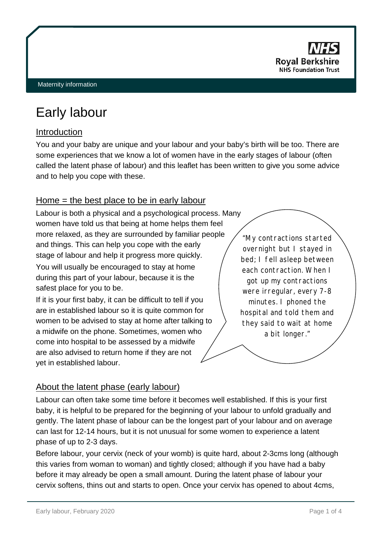

# Early labour

# Introduction

You and your baby are unique and your labour and your baby's birth will be too. There are some experiences that we know a lot of women have in the early stages of labour (often called the latent phase of labour) and this leaflet has been written to give you some advice and to help you cope with these.

# Home = the best place to be in early labour

Labour is both a physical and a psychological process. Many women have told us that being at home helps them feel more relaxed, as they are surrounded by familiar people and things. This can help you cope with the early stage of labour and help it progress more quickly.

You will usually be encouraged to stay at home during this part of your labour, because it is the safest place for you to be.

If it is your first baby, it can be difficult to tell if you are in established labour so it is quite common for women to be advised to stay at home after talking to a midwife on the phone. Sometimes, women who come into hospital to be assessed by a midwife are also advised to return home if they are not yet in established labour.

"My contractions started overnight but I stayed in bed; I fell asleep between each contraction. When I got up my contractions were irregular, every 7-8 minutes. I phoned the hospital and told them and they said to wait at home a bit longer."

# About the latent phase (early labour)

Labour can often take some time before it becomes well established. If this is your first baby, it is helpful to be prepared for the beginning of your labour to unfold gradually and gently. The latent phase of labour can be the longest part of your labour and on average can last for 12-14 hours, but it is not unusual for some women to experience a latent phase of up to 2-3 days.

Before labour, your cervix (neck of your womb) is quite hard, about 2-3cms long (although this varies from woman to woman) and tightly closed; although if you have had a baby before it may already be open a small amount. During the latent phase of labour your cervix softens, thins out and starts to open. Once your cervix has opened to about 4cms,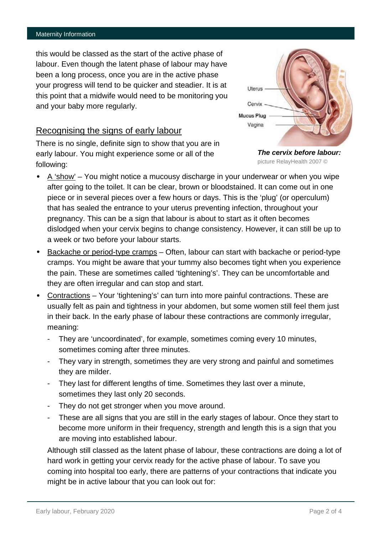#### Maternity Information

this would be classed as the start of the active phase of labour. Even though the latent phase of labour may have been a long process, once you are in the active phase your progress will tend to be quicker and steadier. It is at this point that a midwife would need to be monitoring you and your baby more regularly.

## Recognising the signs of early labour

There is no single, definite sign to show that you are in early labour. You might experience some or all of the following:

Uterus Cervix **Mucus Plug** Vagina



- $A$  'show' You might notice a mucousy discharge in your underwear or when you wipe after going to the toilet. It can be clear, brown or bloodstained. It can come out in one piece or in several pieces over a few hours or days. This is the 'plug' (or operculum) that has sealed the entrance to your uterus preventing infection, throughout your pregnancy. This can be a sign that labour is about to start as it often becomes dislodged when your cervix begins to change consistency. However, it can still be up to a week or two before your labour starts.
- Backache or period-type cramps Often, labour can start with backache or period-type cramps. You might be aware that your tummy also becomes tight when you experience the pain. These are sometimes called 'tightening's'. They can be uncomfortable and they are often irregular and can stop and start.
- · Contractions Your 'tightening's' can turn into more painful contractions. These are usually felt as pain and tightness in your abdomen, but some women still feel them just in their back. In the early phase of labour these contractions are commonly irregular, meaning:
	- They are 'uncoordinated', for example, sometimes coming every 10 minutes, sometimes coming after three minutes.
	- They vary in strength, sometimes they are very strong and painful and sometimes they are milder.
	- They last for different lengths of time. Sometimes they last over a minute, sometimes they last only 20 seconds.
	- They do not get stronger when you move around.
	- These are all signs that you are still in the early stages of labour. Once they start to become more uniform in their frequency, strength and length this is a sign that you are moving into established labour.

Although still classed as the latent phase of labour, these contractions are doing a lot of hard work in getting your cervix ready for the active phase of labour. To save you coming into hospital too early, there are patterns of your contractions that indicate you might be in active labour that you can look out for: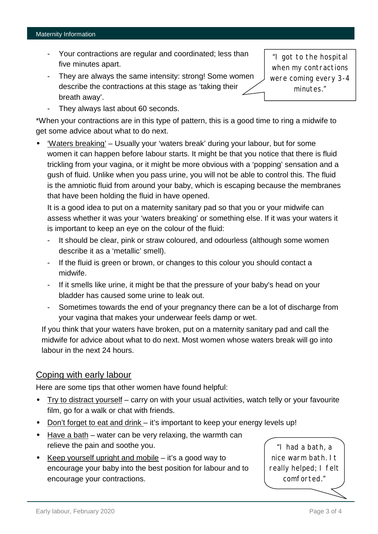### Maternity Information

- Your contractions are regular and coordinated; less than five minutes apart.
- They are always the same intensity: strong! Some women describe the contractions at this stage as 'taking their breath away'.

"I got to the hospital when my contractions were coming every 3-4 minutes."

- They always last about 60 seconds.

\*When your contractions are in this type of pattern, this is a good time to ring a midwife to get some advice about what to do next.

· 'Waters breaking' – Usually your 'waters break' during your labour, but for some women it can happen before labour starts. It might be that you notice that there is fluid trickling from your vagina, or it might be more obvious with a 'popping' sensation and a gush of fluid. Unlike when you pass urine, you will not be able to control this. The fluid is the amniotic fluid from around your baby, which is escaping because the membranes that have been holding the fluid in have opened.

It is a good idea to put on a maternity sanitary pad so that you or your midwife can assess whether it was your 'waters breaking' or something else. If it was your waters it is important to keep an eye on the colour of the fluid:

- It should be clear, pink or straw coloured, and odourless (although some women describe it as a 'metallic' smell).
- If the fluid is green or brown, or changes to this colour you should contact a midwife.
- If it smells like urine, it might be that the pressure of your baby's head on your bladder has caused some urine to leak out.
- Sometimes towards the end of your pregnancy there can be a lot of discharge from your vagina that makes your underwear feels damp or wet.

If you think that your waters have broken, put on a maternity sanitary pad and call the midwife for advice about what to do next. Most women whose waters break will go into labour in the next 24 hours.

# Coping with early labour

Here are some tips that other women have found helpful:

- · Try to distract yourself carry on with your usual activities, watch telly or your favourite film, go for a walk or chat with friends.
- · Don't forget to eat and drink it's important to keep your energy levels up!
- · Have a bath water can be very relaxing, the warmth can relieve the pain and soothe you.
- Keep yourself upright and mobile  $-$  it's a good way to encourage your baby into the best position for labour and to encourage your contractions.

"I had a bath, a nice warm bath. It really helped; I felt comforted."